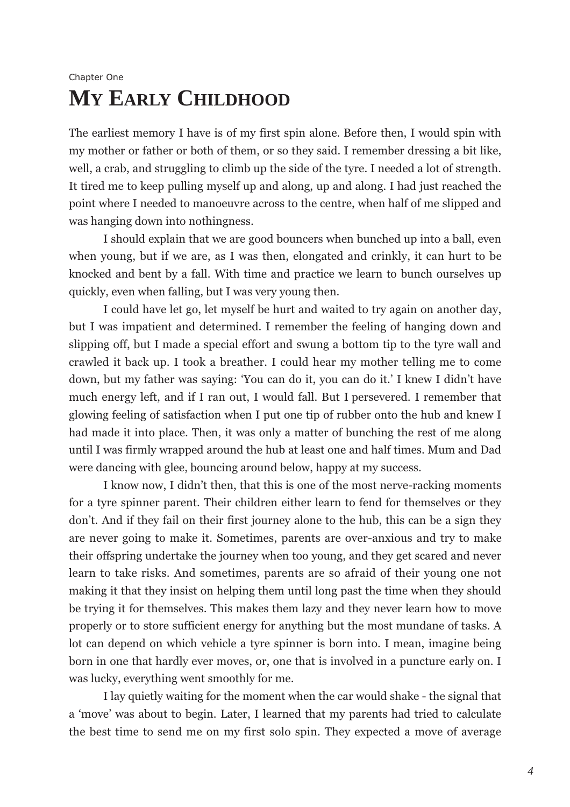## Chapter One **MY EARLY CHILDHOOD**

The earliest memory I have is of my first spin alone. Before then, I would spin with my mother or father or both of them, or so they said. I remember dressing a bit like, well, a crab, and struggling to climb up the side of the tyre. I needed a lot of strength. It tired me to keep pulling myself up and along, up and along. I had just reached the point where I needed to manoeuvre across to the centre, when half of me slipped and was hanging down into nothingness.

I should explain that we are good bouncers when bunched up into a ball, even when young, but if we are, as I was then, elongated and crinkly, it can hurt to be knocked and bent by a fall. With time and practice we learn to bunch ourselves up quickly, even when falling, but I was very young then.

I could have let go, let myself be hurt and waited to try again on another day, but I was impatient and determined. I remember the feeling of hanging down and slipping off, but I made a special effort and swung a bottom tip to the tyre wall and crawled it back up. I took a breather. I could hear my mother telling me to come down, but my father was saying: 'You can do it, you can do it.' I knew I didn't have much energy left, and if I ran out, I would fall. But I persevered. I remember that glowing feeling of satisfaction when I put one tip of rubber onto the hub and knew I had made it into place. Then, it was only a matter of bunching the rest of me along until I was firmly wrapped around the hub at least one and half times. Mum and Dad were dancing with glee, bouncing around below, happy at my success.

I know now, I didn't then, that this is one of the most nerve-racking moments for a tyre spinner parent. Their children either learn to fend for themselves or they don't. And if they fail on their first journey alone to the hub, this can be a sign they are never going to make it. Sometimes, parents are over-anxious and try to make their offspring undertake the journey when too young, and they get scared and never learn to take risks. And sometimes, parents are so afraid of their young one not making it that they insist on helping them until long past the time when they should be trying it for themselves. This makes them lazy and they never learn how to move properly or to store sufficient energy for anything but the most mundane of tasks. A lot can depend on which vehicle a tyre spinner is born into. I mean, imagine being born in one that hardly ever moves, or, one that is involved in a puncture early on. I was lucky, everything went smoothly for me.

I lay quietly waiting for the moment when the car would shake - the signal that a 'move' was about to begin. Later, I learned that my parents had tried to calculate the best time to send me on my first solo spin. They expected a move of average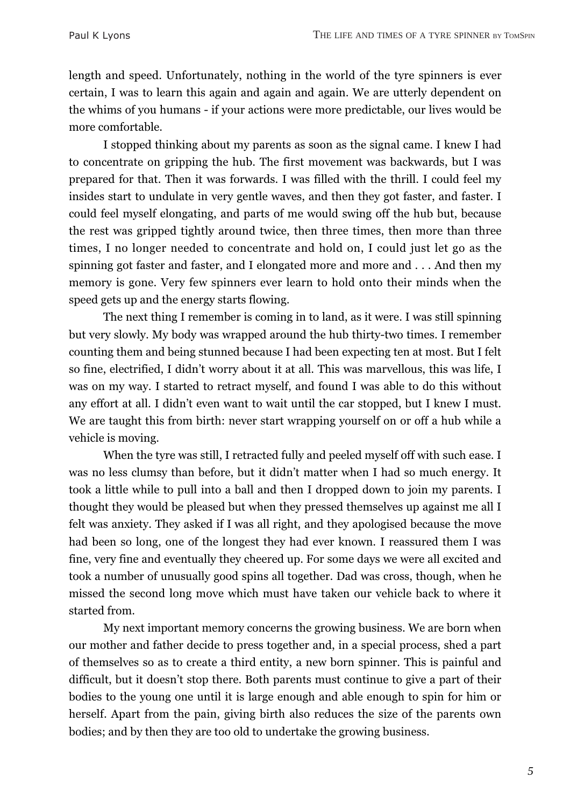length and speed. Unfortunately, nothing in the world of the tyre spinners is ever certain, I was to learn this again and again and again. We are utterly dependent on the whims of you humans - if your actions were more predictable, our lives would be more comfortable.

I stopped thinking about my parents as soon as the signal came. I knew I had to concentrate on gripping the hub. The first movement was backwards, but I was prepared for that. Then it was forwards. I was filled with the thrill. I could feel my insides start to undulate in very gentle waves, and then they got faster, and faster. I could feel myself elongating, and parts of me would swing off the hub but, because the rest was gripped tightly around twice, then three times, then more than three times, I no longer needed to concentrate and hold on, I could just let go as the spinning got faster and faster, and I elongated more and more and  $\dots$  And then my memory is gone. Very few spinners ever learn to hold onto their minds when the speed gets up and the energy starts flowing.

The next thing I remember is coming in to land, as it were. I was still spinning but very slowly. My body was wrapped around the hub thirty-two times. I remember counting them and being stunned because I had been expecting ten at most. But I felt so fine, electrified, I didn't worry about it at all. This was marvellous, this was life, I was on my way. I started to retract myself, and found I was able to do this without any effort at all. I didn't even want to wait until the car stopped, but I knew I must. We are taught this from birth: never start wrapping yourself on or off a hub while a vehicle is moving.

When the tyre was still, I retracted fully and peeled myself off with such ease. I was no less clumsy than before, but it didn't matter when I had so much energy. It took a little while to pull into a ball and then I dropped down to join my parents. I thought they would be pleased but when they pressed themselves up against me all I felt was anxiety. They asked if I was all right, and they apologised because the move had been so long, one of the longest they had ever known. I reassured them I was fine, very fine and eventually they cheered up. For some days we were all excited and took a number of unusually good spins all together. Dad was cross, though, when he missed the second long move which must have taken our vehicle back to where it started from.

My next important memory concerns the growing business. We are born when our mother and father decide to press together and, in a special process, shed a part of themselves so as to create a third entity, a new born spinner. This is painful and difficult, but it doesn't stop there. Both parents must continue to give a part of their bodies to the young one until it is large enough and able enough to spin for him or herself. Apart from the pain, giving birth also reduces the size of the parents own bodies; and by then they are too old to undertake the growing business.